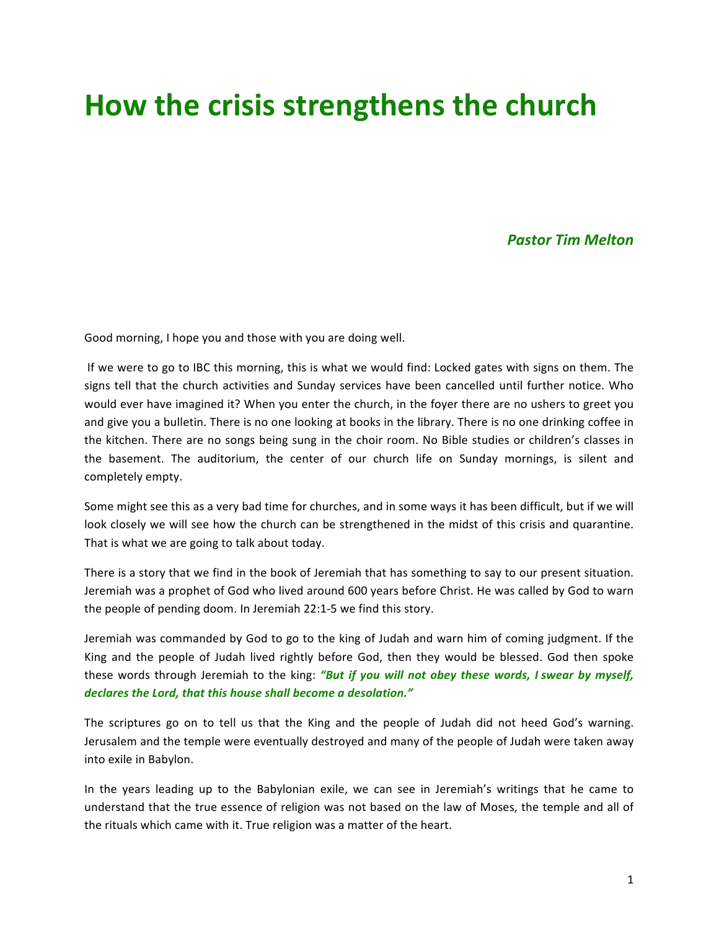## **How the crisis strengthens the church**

## *Pastor Tim Melton*

Good morning, I hope you and those with you are doing well.

If we were to go to IBC this morning, this is what we would find: Locked gates with signs on them. The signs tell that the church activities and Sunday services have been cancelled until further notice. Who would ever have imagined it? When you enter the church, in the foyer there are no ushers to greet you and give you a bulletin. There is no one looking at books in the library. There is no one drinking coffee in the kitchen. There are no songs being sung in the choir room. No Bible studies or children's classes in the basement. The auditorium, the center of our church life on Sunday mornings, is silent and completely empty.

Some might see this as a very bad time for churches, and in some ways it has been difficult, but if we will look closely we will see how the church can be strengthened in the midst of this crisis and quarantine. That is what we are going to talk about today.

There is a story that we find in the book of Jeremiah that has something to say to our present situation. Jeremiah was a prophet of God who lived around 600 years before Christ. He was called by God to warn the people of pending doom. In Jeremiah 22:1-5 we find this story.

Jeremiah was commanded by God to go to the king of Judah and warn him of coming judgment. If the King and the people of Judah lived rightly before God, then they would be blessed. God then spoke these words through Jeremiah to the king: "But if you will not obey these words, I swear by myself, declares the Lord, that this house shall become a desolation."

The scriptures go on to tell us that the King and the people of Judah did not heed God's warning. Jerusalem and the temple were eventually destroyed and many of the people of Judah were taken away into exile in Babylon.

In the years leading up to the Babylonian exile, we can see in Jeremiah's writings that he came to understand that the true essence of religion was not based on the law of Moses, the temple and all of the rituals which came with it. True religion was a matter of the heart.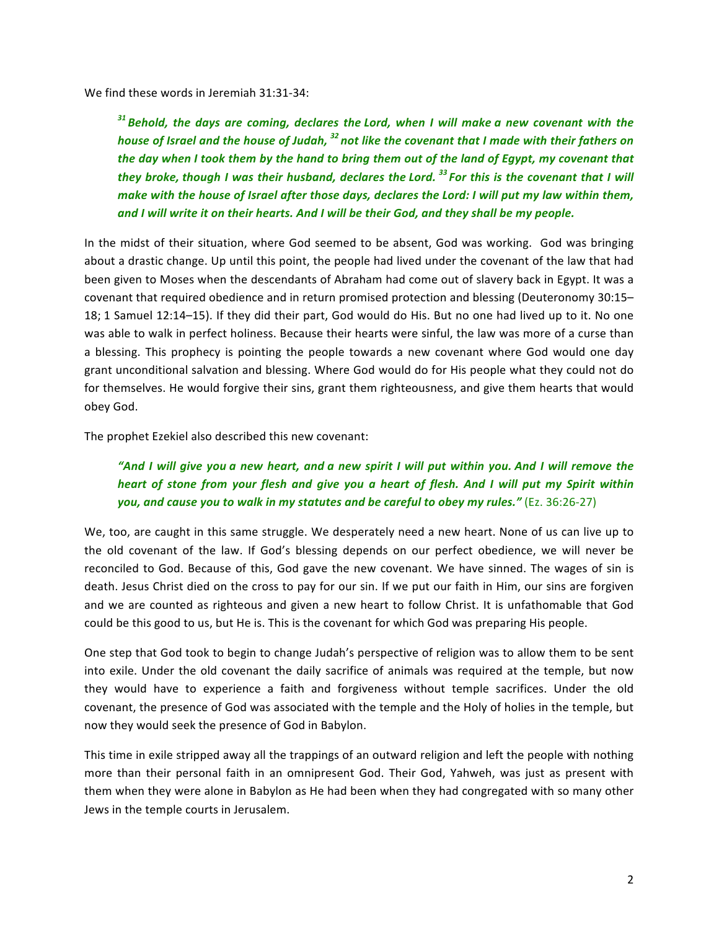We find these words in Jeremiah 31:31-34:

<sup>31</sup> Behold, the days are coming, declares the Lord, when I will make a new covenant with the *house* of Israel and the house of Judah, <sup>32</sup> not like the covenant that I made with their fathers on *the day* when *I* took them by the hand to bring them out of the land of Egypt, my covenant that *they broke, though I was their husband, declares the Lord.* <sup>33</sup> For this is the covenant that I will *make with the house of Israel after those days, declares the Lord: I will put my law within them,* and I will write it on their hearts. And I will be their God, and they shall be my people.

In the midst of their situation, where God seemed to be absent, God was working. God was bringing about a drastic change. Up until this point, the people had lived under the covenant of the law that had been given to Moses when the descendants of Abraham had come out of slavery back in Egypt. It was a covenant that required obedience and in return promised protection and blessing (Deuteronomy 30:15– 18; 1 Samuel 12:14–15). If they did their part, God would do His. But no one had lived up to it. No one was able to walk in perfect holiness. Because their hearts were sinful, the law was more of a curse than a blessing. This prophecy is pointing the people towards a new covenant where God would one day grant unconditional salvation and blessing. Where God would do for His people what they could not do for themselves. He would forgive their sins, grant them righteousness, and give them hearts that would obey God.

The prophet Ezekiel also described this new covenant:

## *"And I will give you a new heart, and a new spirit I will put within you. And I will remove the heart* of stone from your flesh and give you a heart of flesh. And I will put my Spirit within you, and cause you to walk in my statutes and be careful to obey my rules." (Ez. 36:26-27)

We, too, are caught in this same struggle. We desperately need a new heart. None of us can live up to the old covenant of the law. If God's blessing depends on our perfect obedience, we will never be reconciled to God. Because of this, God gave the new covenant. We have sinned. The wages of sin is death. Jesus Christ died on the cross to pay for our sin. If we put our faith in Him, our sins are forgiven and we are counted as righteous and given a new heart to follow Christ. It is unfathomable that God could be this good to us, but He is. This is the covenant for which God was preparing His people.

One step that God took to begin to change Judah's perspective of religion was to allow them to be sent into exile. Under the old covenant the daily sacrifice of animals was required at the temple, but now they would have to experience a faith and forgiveness without temple sacrifices. Under the old covenant, the presence of God was associated with the temple and the Holy of holies in the temple, but now they would seek the presence of God in Babylon.

This time in exile stripped away all the trappings of an outward religion and left the people with nothing more than their personal faith in an omnipresent God. Their God, Yahweh, was just as present with them when they were alone in Babylon as He had been when they had congregated with so many other Jews in the temple courts in Jerusalem.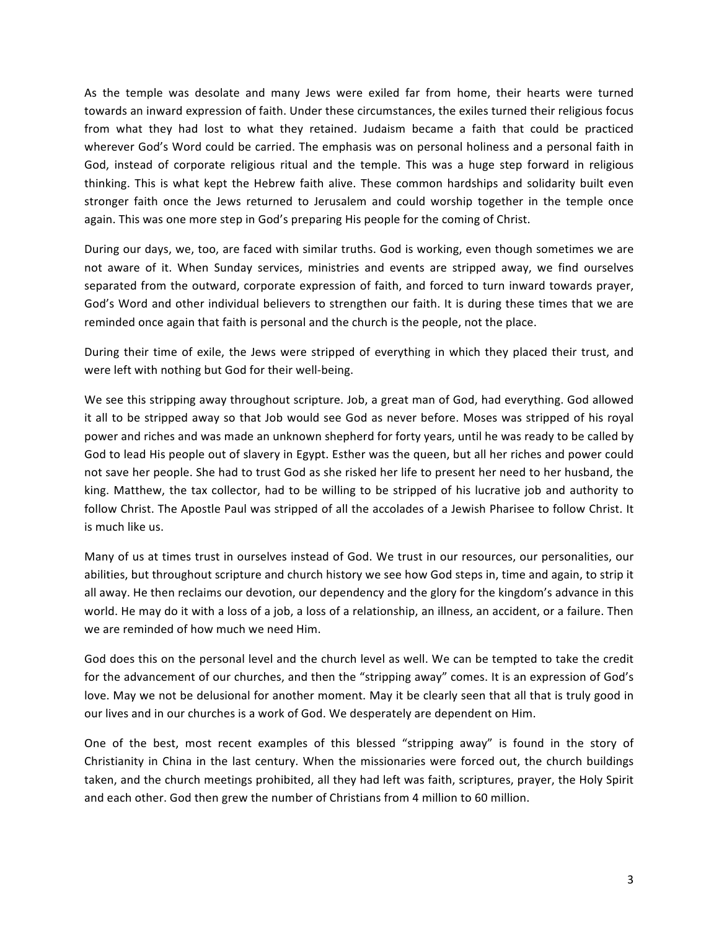As the temple was desolate and many Jews were exiled far from home, their hearts were turned towards an inward expression of faith. Under these circumstances, the exiles turned their religious focus from what they had lost to what they retained. Judaism became a faith that could be practiced wherever God's Word could be carried. The emphasis was on personal holiness and a personal faith in God, instead of corporate religious ritual and the temple. This was a huge step forward in religious thinking. This is what kept the Hebrew faith alive. These common hardships and solidarity built even stronger faith once the Jews returned to Jerusalem and could worship together in the temple once again. This was one more step in God's preparing His people for the coming of Christ.

During our days, we, too, are faced with similar truths. God is working, even though sometimes we are not aware of it. When Sunday services, ministries and events are stripped away, we find ourselves separated from the outward, corporate expression of faith, and forced to turn inward towards prayer, God's Word and other individual believers to strengthen our faith. It is during these times that we are reminded once again that faith is personal and the church is the people, not the place.

During their time of exile, the Jews were stripped of everything in which they placed their trust, and were left with nothing but God for their well-being.

We see this stripping away throughout scripture. Job, a great man of God, had everything. God allowed it all to be stripped away so that Job would see God as never before. Moses was stripped of his royal power and riches and was made an unknown shepherd for forty years, until he was ready to be called by God to lead His people out of slavery in Egypt. Esther was the queen, but all her riches and power could not save her people. She had to trust God as she risked her life to present her need to her husband, the king. Matthew, the tax collector, had to be willing to be stripped of his lucrative job and authority to follow Christ. The Apostle Paul was stripped of all the accolades of a Jewish Pharisee to follow Christ. It is much like us.

Many of us at times trust in ourselves instead of God. We trust in our resources, our personalities, our abilities, but throughout scripture and church history we see how God steps in, time and again, to strip it all away. He then reclaims our devotion, our dependency and the glory for the kingdom's advance in this world. He may do it with a loss of a job, a loss of a relationship, an illness, an accident, or a failure. Then we are reminded of how much we need Him.

God does this on the personal level and the church level as well. We can be tempted to take the credit for the advancement of our churches, and then the "stripping away" comes. It is an expression of God's love. May we not be delusional for another moment. May it be clearly seen that all that is truly good in our lives and in our churches is a work of God. We desperately are dependent on Him.

One of the best, most recent examples of this blessed "stripping away" is found in the story of Christianity in China in the last century. When the missionaries were forced out, the church buildings taken, and the church meetings prohibited, all they had left was faith, scriptures, prayer, the Holy Spirit and each other. God then grew the number of Christians from 4 million to 60 million.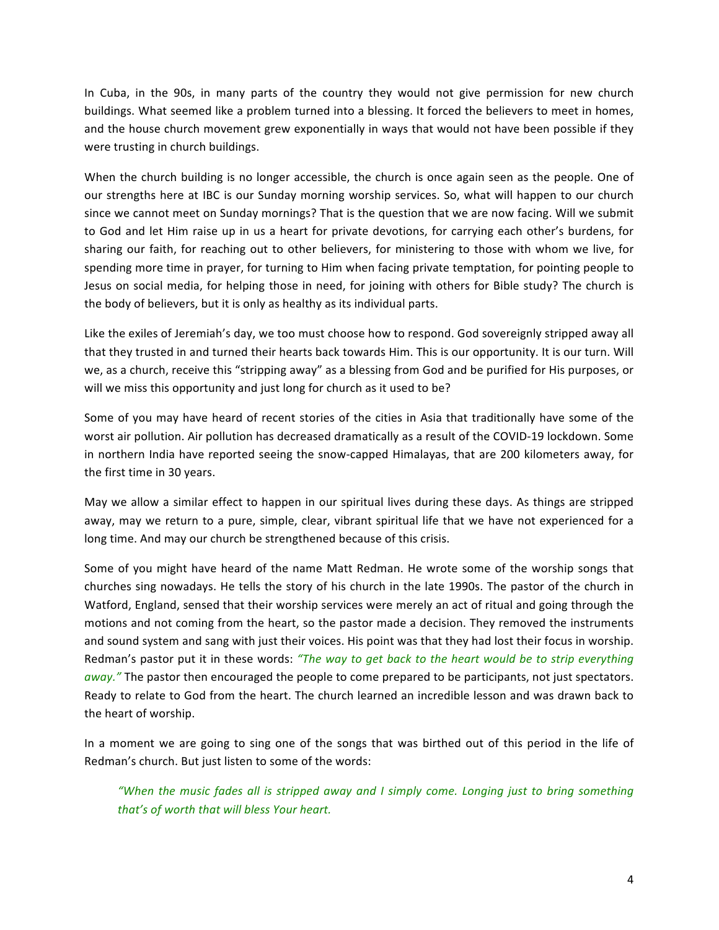In Cuba, in the 90s, in many parts of the country they would not give permission for new church buildings. What seemed like a problem turned into a blessing. It forced the believers to meet in homes, and the house church movement grew exponentially in ways that would not have been possible if they were trusting in church buildings.

When the church building is no longer accessible, the church is once again seen as the people. One of our strengths here at IBC is our Sunday morning worship services. So, what will happen to our church since we cannot meet on Sunday mornings? That is the question that we are now facing. Will we submit to God and let Him raise up in us a heart for private devotions, for carrying each other's burdens, for sharing our faith, for reaching out to other believers, for ministering to those with whom we live, for spending more time in prayer, for turning to Him when facing private temptation, for pointing people to Jesus on social media, for helping those in need, for joining with others for Bible study? The church is the body of believers, but it is only as healthy as its individual parts.

Like the exiles of Jeremiah's day, we too must choose how to respond. God sovereignly stripped away all that they trusted in and turned their hearts back towards Him. This is our opportunity. It is our turn. Will we, as a church, receive this "stripping away" as a blessing from God and be purified for His purposes, or will we miss this opportunity and just long for church as it used to be?

Some of you may have heard of recent stories of the cities in Asia that traditionally have some of the worst air pollution. Air pollution has decreased dramatically as a result of the COVID-19 lockdown. Some in northern India have reported seeing the snow-capped Himalayas, that are 200 kilometers away, for the first time in 30 years.

May we allow a similar effect to happen in our spiritual lives during these days. As things are stripped away, may we return to a pure, simple, clear, vibrant spiritual life that we have not experienced for a long time. And may our church be strengthened because of this crisis.

Some of you might have heard of the name Matt Redman. He wrote some of the worship songs that churches sing nowadays. He tells the story of his church in the late 1990s. The pastor of the church in Watford, England, sensed that their worship services were merely an act of ritual and going through the motions and not coming from the heart, so the pastor made a decision. They removed the instruments and sound system and sang with just their voices. His point was that they had lost their focus in worship. Redman's pastor put it in these words: "The way to get back to the heart would be to strip everything *away."* The pastor then encouraged the people to come prepared to be participants, not just spectators. Ready to relate to God from the heart. The church learned an incredible lesson and was drawn back to the heart of worship.

In a moment we are going to sing one of the songs that was birthed out of this period in the life of Redman's church. But just listen to some of the words:

*"When* the music fades all is stripped away and I simply come. Longing just to bring something *that's* of worth *that* will bless Your heart.